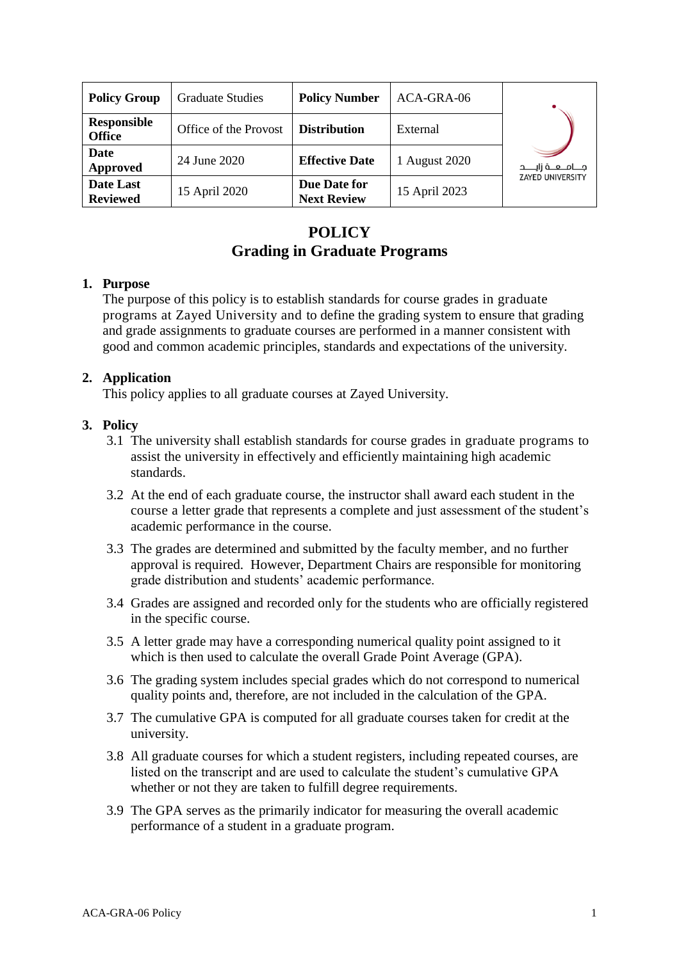| <b>Policy Group</b>                 | <b>Graduate Studies</b> | <b>Policy Number</b>                      | ACA-GRA-06    |                                                       |
|-------------------------------------|-------------------------|-------------------------------------------|---------------|-------------------------------------------------------|
| <b>Responsible</b><br><b>Office</b> | Office of the Provost   | <b>Distribution</b>                       | External      | مـــــامــــــه زايــــــد<br><b>ZAYED UNIVERSITY</b> |
| <b>Date</b><br>Approved             | 24 June 2020            | <b>Effective Date</b>                     | 1 August 2020 |                                                       |
| <b>Date Last</b><br><b>Reviewed</b> | 15 April 2020           | <b>Due Date for</b><br><b>Next Review</b> | 15 April 2023 |                                                       |

# **POLICY Grading in Graduate Programs**

#### **1. Purpose**

The purpose of this policy is to establish standards for course grades in graduate programs at Zayed University and to define the grading system to ensure that grading and grade assignments to graduate courses are performed in a manner consistent with good and common academic principles, standards and expectations of the university.

#### **2. Application**

This policy applies to all graduate courses at Zayed University.

#### **3. Policy**

- 3.1 The university shall establish standards for course grades in graduate programs to assist the university in effectively and efficiently maintaining high academic standards.
- 3.2 At the end of each graduate course, the instructor shall award each student in the course a letter grade that represents a complete and just assessment of the student's academic performance in the course.
- 3.3 The grades are determined and submitted by the faculty member, and no further approval is required. However, Department Chairs are responsible for monitoring grade distribution and students' academic performance.
- 3.4 Grades are assigned and recorded only for the students who are officially registered in the specific course.
- 3.5 A letter grade may have a corresponding numerical quality point assigned to it which is then used to calculate the overall Grade Point Average (GPA).
- 3.6 The grading system includes special grades which do not correspond to numerical quality points and, therefore, are not included in the calculation of the GPA.
- 3.7 The cumulative GPA is computed for all graduate courses taken for credit at the university.
- 3.8 All graduate courses for which a student registers, including repeated courses, are listed on the transcript and are used to calculate the student's cumulative GPA whether or not they are taken to fulfill degree requirements.
- 3.9 The GPA serves as the primarily indicator for measuring the overall academic performance of a student in a graduate program.